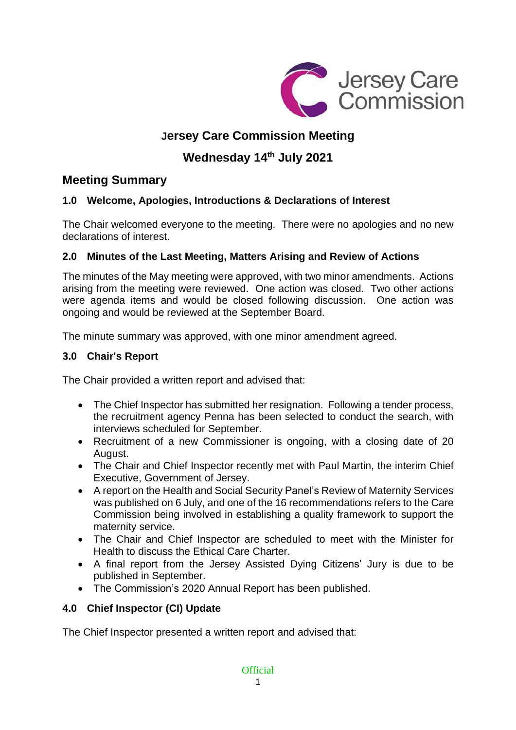

# **Jersey Care Commission Meeting**

# **Wednesday 14 th July 2021**

## **Meeting Summary**

## **1.0 Welcome, Apologies, Introductions & Declarations of Interest**

The Chair welcomed everyone to the meeting. There were no apologies and no new declarations of interest.

## **2.0 Minutes of the Last Meeting, Matters Arising and Review of Actions**

The minutes of the May meeting were approved, with two minor amendments. Actions arising from the meeting were reviewed. One action was closed. Two other actions were agenda items and would be closed following discussion. One action was ongoing and would be reviewed at the September Board.

The minute summary was approved, with one minor amendment agreed.

## **3.0 Chair's Report**

The Chair provided a written report and advised that:

- The Chief Inspector has submitted her resignation. Following a tender process, the recruitment agency Penna has been selected to conduct the search, with interviews scheduled for September.
- Recruitment of a new Commissioner is ongoing, with a closing date of 20 August.
- The Chair and Chief Inspector recently met with Paul Martin, the interim Chief Executive, Government of Jersey.
- A report on the Health and Social Security Panel's Review of Maternity Services was published on 6 July, and one of the 16 recommendations refers to the Care Commission being involved in establishing a quality framework to support the maternity service.
- The Chair and Chief Inspector are scheduled to meet with the Minister for Health to discuss the Ethical Care Charter.
- A final report from the Jersey Assisted Dying Citizens' Jury is due to be published in September.
- The Commission's 2020 Annual Report has been published.

## **4.0 Chief Inspector (CI) Update**

The Chief Inspector presented a written report and advised that: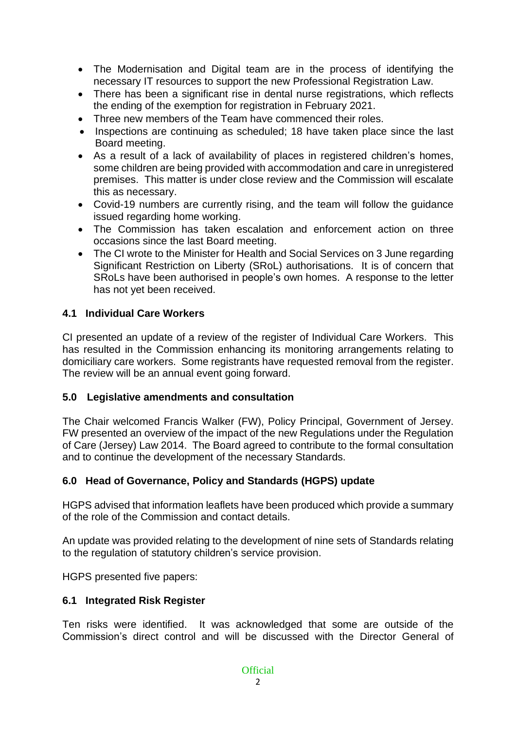- The Modernisation and Digital team are in the process of identifying the necessary IT resources to support the new Professional Registration Law.
- There has been a significant rise in dental nurse registrations, which reflects the ending of the exemption for registration in February 2021.
- Three new members of the Team have commenced their roles.
- Inspections are continuing as scheduled; 18 have taken place since the last Board meeting.
- As a result of a lack of availability of places in registered children's homes, some children are being provided with accommodation and care in unregistered premises. This matter is under close review and the Commission will escalate this as necessary.
- Covid-19 numbers are currently rising, and the team will follow the guidance issued regarding home working.
- The Commission has taken escalation and enforcement action on three occasions since the last Board meeting.
- The CI wrote to the Minister for Health and Social Services on 3 June regarding Significant Restriction on Liberty (SRoL) authorisations. It is of concern that SRoLs have been authorised in people's own homes. A response to the letter has not yet been received.

#### **4.1 Individual Care Workers**

CI presented an update of a review of the register of Individual Care Workers. This has resulted in the Commission enhancing its monitoring arrangements relating to domiciliary care workers. Some registrants have requested removal from the register. The review will be an annual event going forward.

#### **5.0 Legislative amendments and consultation**

The Chair welcomed Francis Walker (FW), Policy Principal, Government of Jersey. FW presented an overview of the impact of the new Regulations under the Regulation of Care (Jersey) Law 2014. The Board agreed to contribute to the formal consultation and to continue the development of the necessary Standards.

#### **6.0 Head of Governance, Policy and Standards (HGPS) update**

HGPS advised that information leaflets have been produced which provide a summary of the role of the Commission and contact details.

An update was provided relating to the development of nine sets of Standards relating to the regulation of statutory children's service provision.

HGPS presented five papers:

#### **6.1 Integrated Risk Register**

Ten risks were identified. It was acknowledged that some are outside of the Commission's direct control and will be discussed with the Director General of